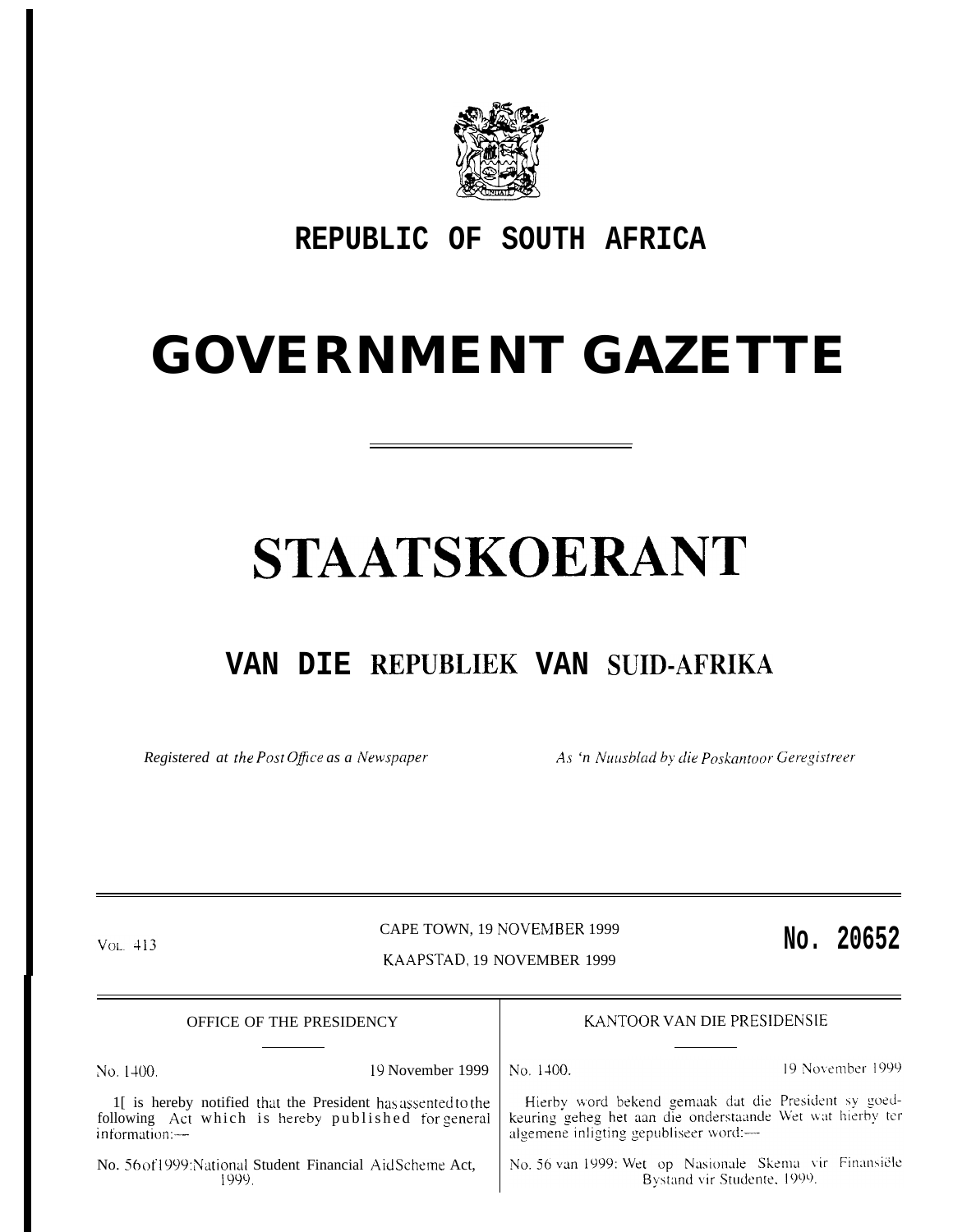

## REPUBLIC OF SOUTH AFRICA

## **GOVERNMENT GAZETTE**

# STAATSKOERANT

## VAN DIE REPUBLIEK VAN SUID-AFRIKA

Registered at the Post Office as a Newspaper As 'n Nuusblad by die Poskantoor Geregistreer

 $Vol. 413$ 

### CAPE TOWN, 19 NOVEMBER 1999 KAAPSTAD, 19 NOVEMBER 1999

### No. 20652

| OFFICE OF THE PRESIDENCY                                                                                                                |                                                            | KANTOOR VAN DIE PRESIDENSIE                                                                                                                                |                                                                                       |
|-----------------------------------------------------------------------------------------------------------------------------------------|------------------------------------------------------------|------------------------------------------------------------------------------------------------------------------------------------------------------------|---------------------------------------------------------------------------------------|
| No. 1400.                                                                                                                               | 19 November 1999                                           | No. 1400.                                                                                                                                                  | 19 November 1999                                                                      |
| 1. If is hereby notified that the President has assented to the<br>following Act which is hereby published for general<br>information.— |                                                            | Hierby word bekend gemaak dat die President sy goed-<br>keuring geheg het aan die onderstaande Wet wat hierby ter<br>algemene inligting gepubliseer word:— |                                                                                       |
| 1999 -                                                                                                                                  | No. 56 of 1999: National Student Financial Aid Scheme Act, |                                                                                                                                                            | No. 56 van 1999: Wet op Nasionale Skema vir Finansiële<br>Bystand vir Studente, 1999. |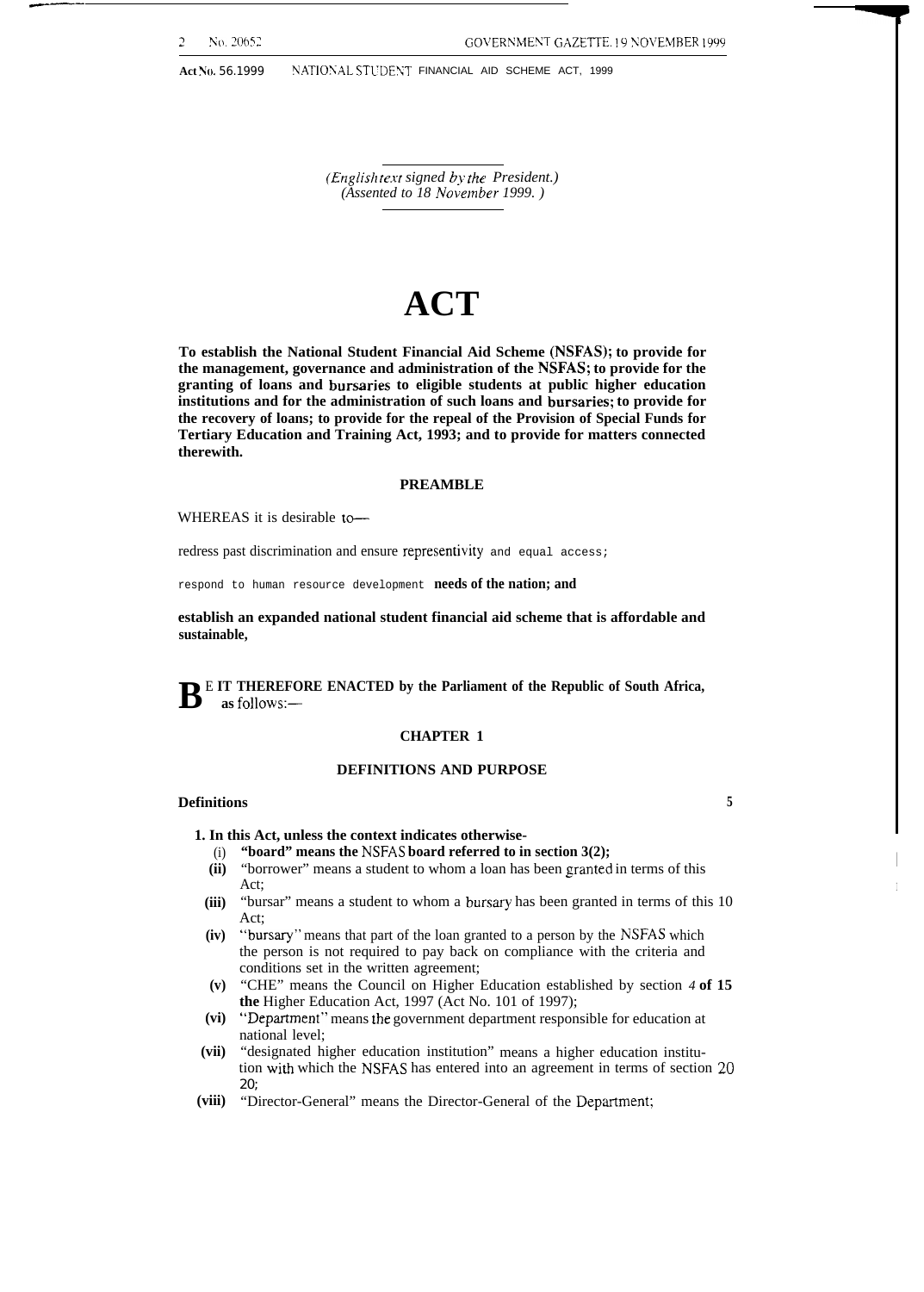——

**No. 20652 COVERNMENT GAZETTE. 19 NOVEMBER 1999** 

Act No. 56.1999 NATIONAL STUDENT FINANCIAL AID SCHEME ACT, 1999

*(Englis}l te.rt signed b> the President.) (Assented to 18 November 1999.)* 

## **ACT**

**To establish the National Student Financial Aid Scheme (NSFAS); to provide for the management, governance and administration of the NSFAS; to provide for the granting of loans and bursaries to eligible students at public higher education institutions and for the administration of such loans and bursaries; to provide for the recovery of loans; to provide for the repeal of the Provision of Special Funds for Tertiary Education and Training Act, 1993; and to provide for matters connected therewith.**

#### **PREAMBLE**

WHEREAS it is desirable to $-$ 

redress past discrimination and ensure representivity and equal access;

respond to human resource development **needs of the nation; and**

**establish an expanded national student financial aid scheme that is affordable and sustainable,**

**B** E IT THEREFORE ENACTED by the Parliament of the Republic of South Africa, as follows: **as follows:—**

#### **CHAPTER 1**

#### **DEFINITIONS AND PURPOSE**

#### **Definitions 5**

- **1. In this Act, unless the context indicates otherwise-**
	- (i) **"board" means the NSFAS board referred to in section 3(2);**
	- **(ii)** "borrower" means a student to whom a loan has been granted in terms of this Act;
- **(iii)** "bursar" means a student to whom a bursary has been granted in terms of this 10 Act;
- **(iv)** "bursary" means that part of the loan granted to a person by the NSFAS which the person is not required to pay back on compliance with the criteria and conditions set in the written agreement;
- **(v)** "CHE" means the Council on Higher Education established by section *4* **of 15 the** Higher Education Act, 1997 (Act No. 101 of 1997);
- **(vi)** "Department" means the government department responsible for education at national level;
- **(vii)** "designated higher education institution" means a higher education institution with which the NSFAS has entered into an agreement in terms of section 20 20;
- (viii) "Director-General" means the Director-General of the Department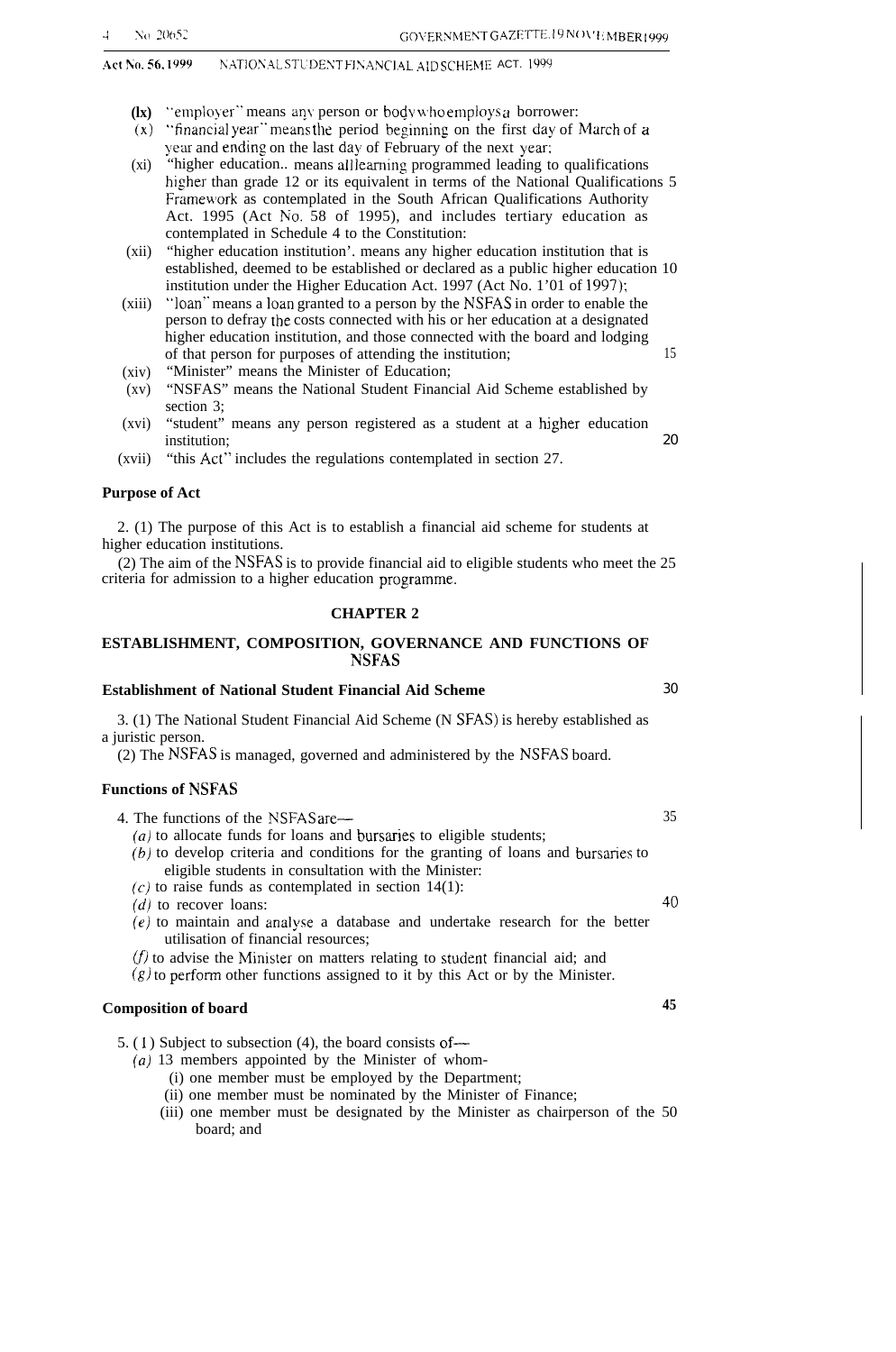#### Act No. 56. 1999 NATIONAL STUDENT FINANCIAL AID SCHEME ACT. 1999

- **(lx)** "employer" means any person or body who employs a borrower:
- $(x)$  "financial year" means the period beginning on the first day of March of a year and ending on the last day of February of the next year;
- $(xi)$ "higher education.. means all learning programmed leading to qualifications higher than grade 12 or its equivalent in terms of the National Qualifications 5 Framework as contemplated in the South African Qualifications Authority Act. 1995 (Act No. 58 of 1995), and includes tertiary education as contemplated in Schedule 4 to the Constitution:
- (xii) "higher education institution'. means any higher education institution that is established, deemed to be established or declared as a public higher education 10 institution under the Higher Education Act. 1997 (Act No. 1'01 of 1997);
- (xiii) "loan" means a loan granted to a person by the NSFAS in order to enable the person to defray tbe costs connected with his or her education at a designated higher education institution, and those connected with the board and lodging of that person for purposes of attending the institution; 15
- (xiv) "Minister" means the Minister of Education;
- (xv) "NSFAS" means the National Student Financial Aid Scheme established by section 3;
- (xvi) "student" means any person registered as a student at a higher education institution; 20
- (xvii) "this Act" includes the regulations contemplated in section 27.

#### **Purpose of Act**

2. (1) The purpose of this Act is to establish a financial aid scheme for students at higher education institutions.

(2) The aim of the NSFAS is to provide financial aid to eligible students who meet the 25 criteria for admission to a higher education programme.

#### **CHAPTER 2**

#### **ESTABLISHMENT, COMPOSITION, GOVERNANCE AND FUNCTIONS OF NSFAS**

#### **Establishment of National Student Financial Aid Scheme** 30

3. (1) The National Student Financial Aid Scheme (N SFAS) is hereby established as a juristic person.

(2) The NSFAS is managed, governed and administered by the NSFAS board.

#### **Functions of NSFAS**

4. The functions of the NSFAS are— 35

- $(a)$  to allocate funds for loans and bursaries to eligible students;  $(b)$  to develop criteria and conditions for the granting of loans and bursaries to
- eligible students in consultation with the Minister:
- $(c)$  to raise funds as contemplated in section 14(1):  $(d)$  to recover loans:  $\qquad \qquad \qquad 40$
- 
- (e) to maintain and analyse a database and undertake research for the better utilisation of financial resources;

 $(f)$  to advise the Minister on matters relating to student financial aid; and

 $(g)$  to perform other functions assigned to it by this Act or by the Minister.

#### **Composition of board 45**

- 5. (1) Subject to subsection (4), the board consists of—
	- $(a)$  13 members appointed by the Minister of whom-
		- (i) one member must be employed by the Department;
		- (ii) one member must be nominated by the Minister of Finance;
		- (iii) one member must be designated by the Minister as chairperson of the 50 board; and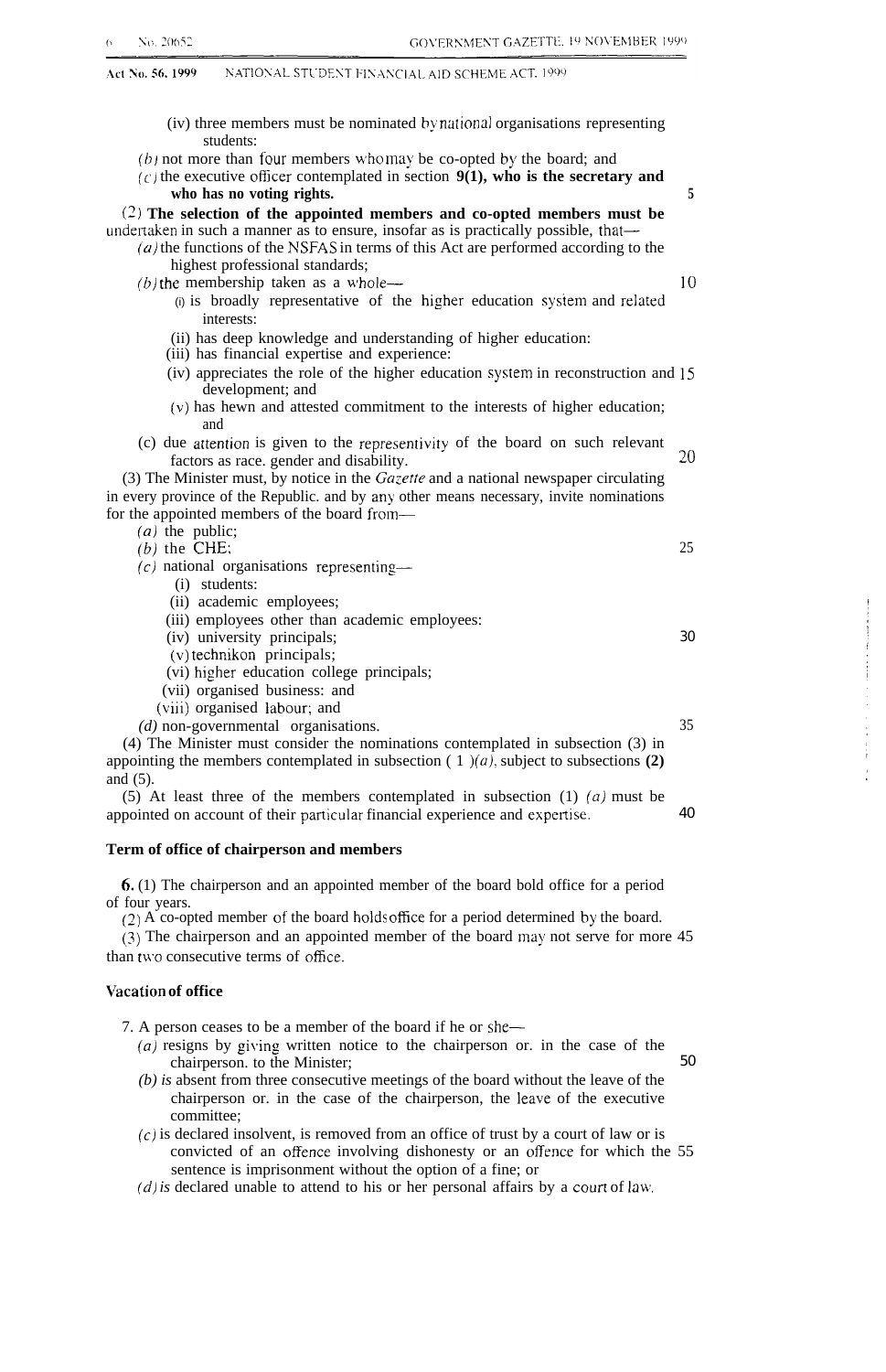(iv) three members must be nominated by national organisations representing students:  $(b)$  not more than four members who may be co-opted by the board; and  $(c)$  the executive officer contemplated in section  $9(1)$ , who is the secretary and **who has no voting rights. 5 (2) The selection of the appointed members and co-opted members must be** undertaken in such a manner as to ensure, insofar as is practically possible, that—  $(a)$  the functions of the NSFAS in terms of this Act are performed according to the highest professional standards;  $(b)$  the membership taken as a whole—  $10$ (i) is broadly representative of the higher education system and related interests: (ii) has deep knowledge and understanding of higher education: (iii) has financial expertise and experience:  $(iv)$  appreciates the role of the higher education system in reconstruction and 15 development; and (v) has hewn and attested commitment to the interests of higher education; and (c) due artention is given to the representivity of the board on such relevant  $f$ actors as race, gender and disability.  $20$ (3) The Minister must, by notice in the  $Gazette$  and a national newspaper circulating in every province of the Republic. and by any other means necessary, invite nominations for the appointed members of the board from-  $(a)$  the public;  $(b)$  the CHE: 25  $(c)$  national organisations representing— (i) students: (ii) academic employees; (iii) employees other than academic employees: (iv) university principals; (v) technikon principals; (vi) higher education college principals; (vii) organised business: and (viii) organised Iabour; and *(d)* non-governmental organisations. 35 (4) The Minister must consider the nominations contemplated in subsection (3) in appointing the members contemplated in subsection  $(1)(a)$ , subject to subsections **(2)** and (5). 30

(5) At least three of the members contemplated in subsection  $(1)$   $(a)$  must be appointed on account of their particular financial experience and expertise. 40

#### **Term of office of chairperson and members**

6. (1) The chairperson and an appointed member of the board bold office for a period of four years.

(2) A co-opted member of the board holds office for a period determined by the board.

(3) The chairperson and an appointed member of the board may not serve for more 45 than two consecutive terms of office.

#### **\Tacation of office**

7. A person ceases to be a member of the board if he or she—

*(a)* resigns by giving written notice to the chairperson or. in the case of the chairperson. to the Minister; 50

- *(b) is* absent from three consecutive meetings of the board without the leave of the chairperson or. in the case of the chairperson, the leave of the executive committee;
- $(c)$  is declared insolvent, is removed from an office of trust by a court of law or is convicted of an offence involving dishonesty or an offence for which the 55 sentence is imprisonment without the option of a fine; or
- $(d)$  is declared unable to attend to his or her personal affairs by a court of law.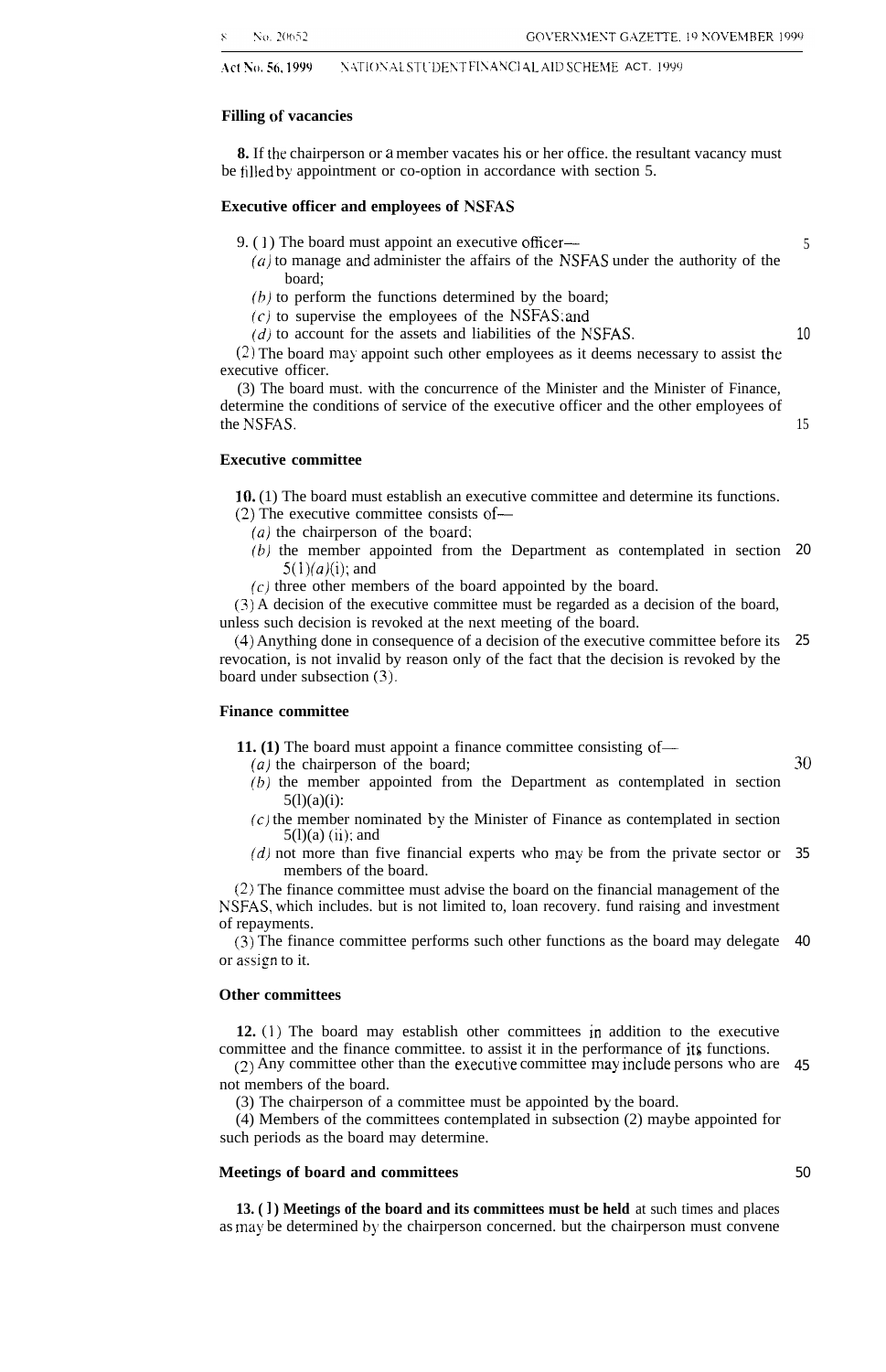Act No. 56, 1999 NATIONAL STUDENT FINANCIAL AID SCHEME ACT. 1999

#### **Filling of vacancies**

**8.** If the chairperson or a member vacates his or her office. the resultant vacancy must be filled by appointment or co-option in accordance with section 5.

#### **Executive officer and employees of NSFAS**

- 9. (1) The board must appoint an executive officer—
	- $(a)$  to manage and administer the affairs of the NSFAS under the authority of the board;
	- $(b)$  to perform the functions determined by the board;
	- $(c)$  to supervise the employees of the NSFAS; and
	- $(d)$  to account for the assets and liabilities of the NSFAS.

(2) The board may appoint such other employees as it deems necessary to assist the executive officer.

(3) The board must. with the concurrence of the Minister and the Minister of Finance, determine the conditions of service of the executive officer and the other employees of the NSFAS.

**Executive committee**

10. (1) The board must establish an executive committee and determine its functions.

- (2) The executive committee consists of—
	- *(a)* the chairperson of the board:
	- $(b)$  the member appointed from the Department as contemplated in section 20  $5(1)(a)(i)$ ; and
	- $(c)$  three other members of the board appointed by the board.

(3) A decision of the executive committee must be regarded as a decision of the board, unless such decision is revoked at the next meeting of the board.

(4) Anything done in consequence of a decision of the executive committee before its 25 revocation, is not invalid by reason only of the fact that the decision is revoked by the board under subsection (3).

#### **Finance committee**

**11.** (1) The board must appoint a finance committee consisting of—

- $(a)$  the chairperson of the board;
- $(b)$  the member appointed from the Department as contemplated in section  $5(l)(a)(i)$ :
- $(c)$  the member nominated by the Minister of Finance as contemplated in section  $5(l)(a)$  (ii); and
- (d) not more than five financial experts who may be from the private sector or 35 members of the board.

(2) The finance committee must advise the board on the financial management of the NSFAS, which includes. but is not limited to, loan recovery. fund raising and investment of repayments.

(3) The finance committee performs such other functions as the board may delegate 40 or assign to it.

#### **Other committees**

**12. (1)** The board may establish other committees in addition to the executive committee and the finance committee. to assist it in the performance of its functions.

 $(2)$  Any committee other than the executive committee may include persons who are  $45$ not members of the board.

(3) The chairperson of a committee must be appointed by the board.

(4) Members of the committees contemplated in subsection (2) maybe appointed for such periods as the board may determine.

#### **Meetings of board and committees**

**13. ( 1 ) Meetings of the board and its committees must be held** at such times and places as may be determined by the chairperson concerned. but the chairperson must convene

30

5

10

15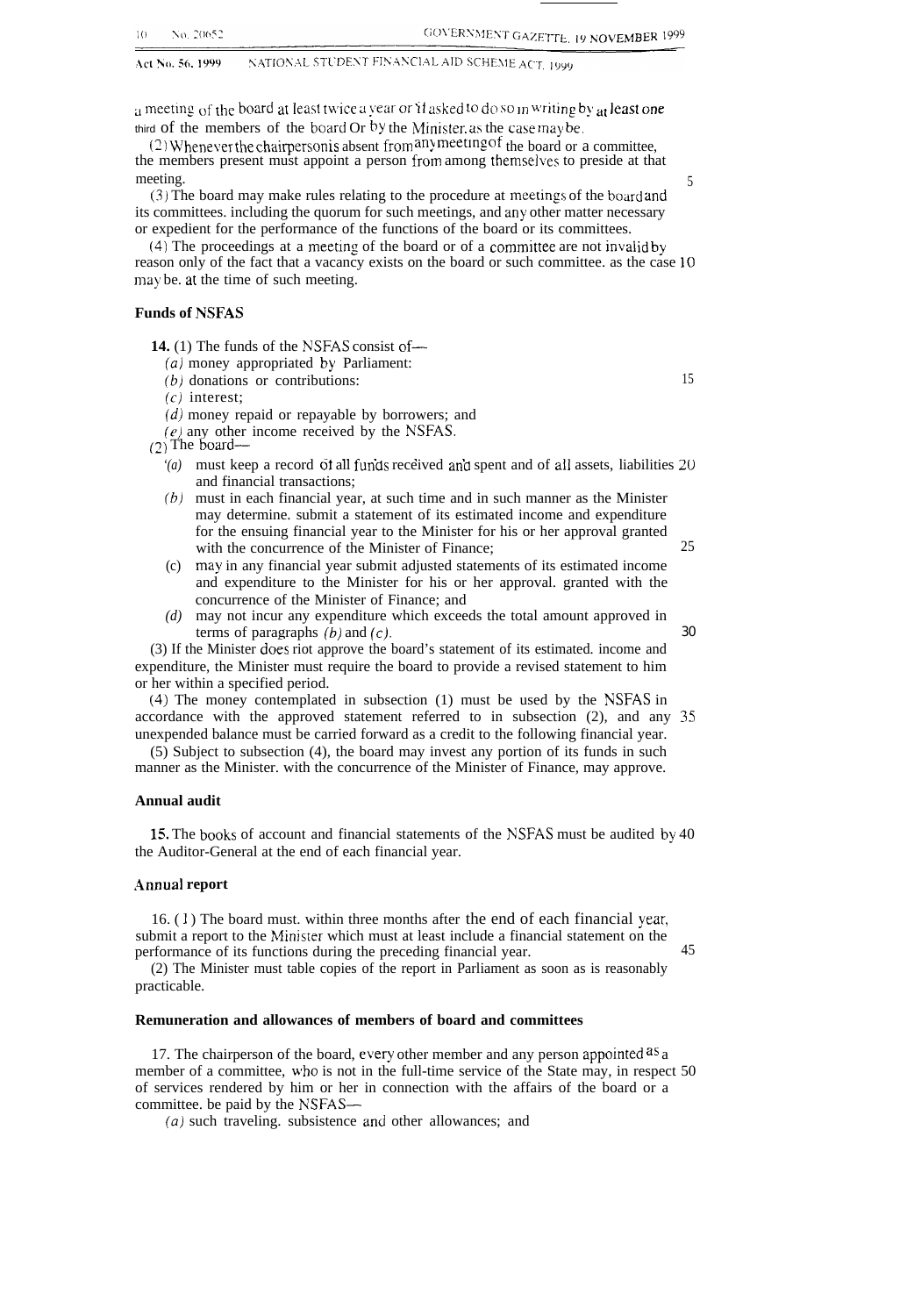NATIONAL STUDENT FINANCIAL AID SCHEME ACT, 1999 Act No. 56, 1999

 $\alpha$  ineeting of the board at least twice a vear or if asked to do so in writing by  $\alpha t$  least one third of the members of the board Or by the Minister. as the case may be,

 $(2)$  Whenever the chairperson is absent from any meeting of the board or a committee. the members present must appoint a person from among themselves to preside at that meeting. 5

(3) The board may make rules relating to the procedure at lneetings of the board and its committees. including the quorum for such meetings, and any other matter necessary or expedient for the performance of the functions of the board or its committees.

 $(4)$  The proceedings at a meeting of the board or of a committee are not invalid by reason only of the fact that a vacancy exists on the board or such committee. as the case 10 may be. at the time of such meeting.

#### **Funds of NSFAS**

**14.** (1) The funds of the NSFAS consist of—

- *(a)* money appropriated by Parliament:
- $(b)$  donations or contributions: 15
- $(c)$  interest;
- (d) money repaid or repayable by borrowers; and
- $(e)$  any other income received by the NSFAS.<br>(2) The board—
- 
- ( $\overline{2}$ ) The board—<br>*'(a)* must keep a record of all funds received and spent and of all assets, liabilities 20 and financial transactions;
	- *(b)* must in each financial year, at such time and in such manner as the Minister may determine. submit a statement of its estimated income and expenditure for the ensuing financial year to the Minister for his or her approval granted with the concurrence of the Minister of Finance; 25
	- (c) may in any financial year submit adjusted statements of its estimated income and expenditure to the Minister for his or her approval. granted with the concurrence of the Minister of Finance; and
	- *(d)* may not incur any expenditure which exceeds the total amount approved in terms of paragraphs  $(b)$  and  $(c)$ . 30

(3) If the Minister does riot approve the board's statement of its estimated. income and expenditure, the Minister must require the board to provide a revised statement to him or her within a specified period.

(4) The money contemplated in subsection (1) must be used by the NSFAS in accordance with the approved statement referred to in subsection (2), and any 35 unexpended balance must be carried forward as a credit to the following financial year.

(5) Subject to subsection (4), the board may invest any portion of its funds in such manner as the Minister. with the concurrence of the Minister of Finance, may approve.

#### **Annual audit**

**lj.** The books of account and financial statements of the NSFAS must be audited by 40 the Auditor-General at the end of each financial year.

#### **.4nnual report**

16. ( 1 ) The board must. within three months after the end of each financial year, submit a report to the Minister which must at least include a financial statement on the performance of its functions during the preceding financial year. 45

(2) The Minister must table copies of the report in Parliament as soon as is reasonably practicable.

#### **Remuneration and allowances of members of board and committees**

17. The chairperson of the board, every other member and any person appointed  $aS_a$ member of a committee, who is not in the full-time service of the State may, in respect 50 of services rendered by him or her in connection with the affairs of the board or a committee. be paid by the NSFAS-

*(a)* such traveling. subsistence and other allowances; and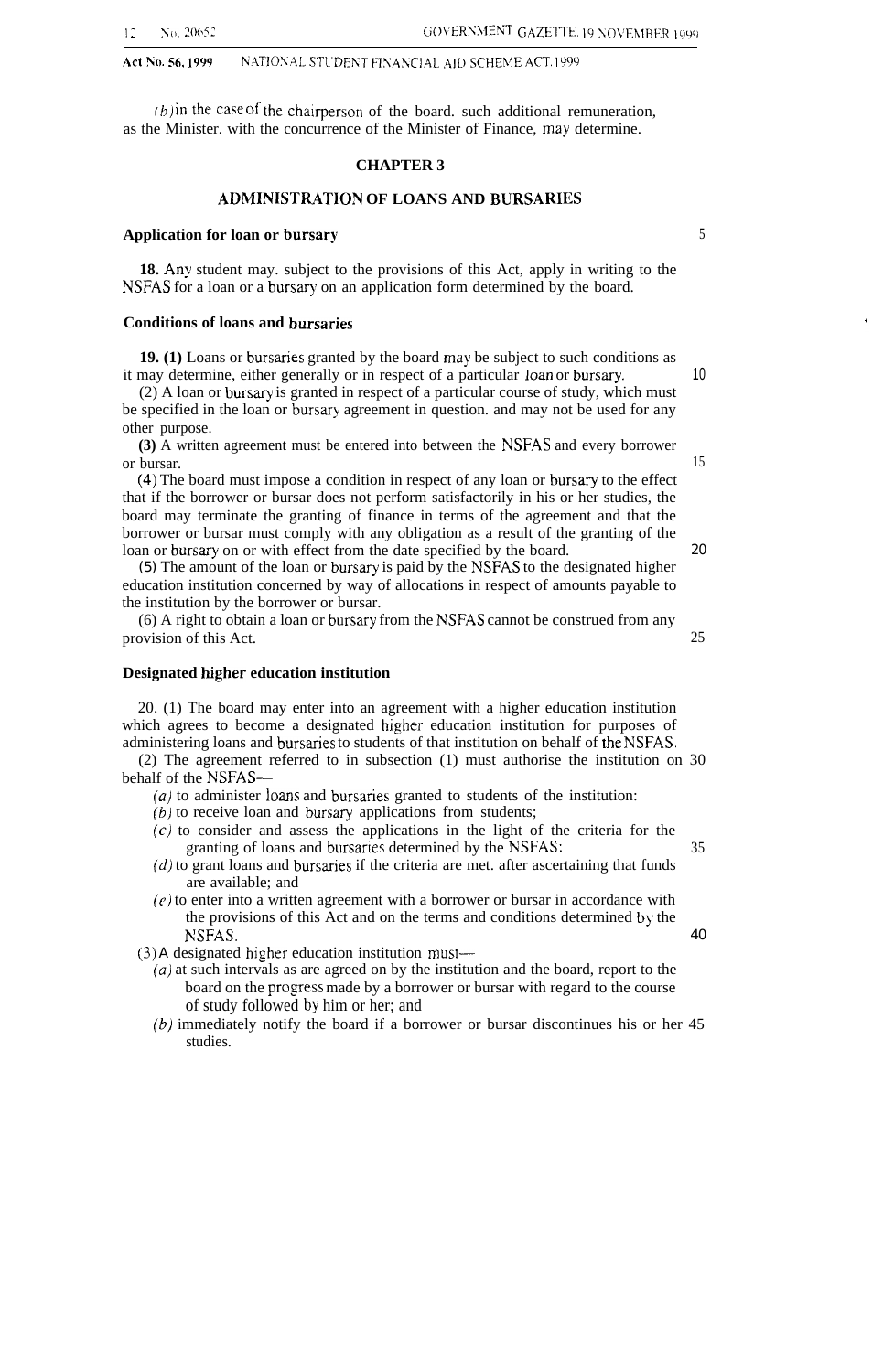#### Act No. 56, 1999 NATIONAL STUDENT FINANCIAL AID SCHEME ACT. 1999

 $(b)$  in the case of the chairperson of the board. such additional remuneration, as the Minister. with the concurrence of the Minister of Finance, may determine.

#### **CHAPTER 3**

#### **ADMINISTRATION OF LOANS AND BURSARIES**

#### **Application for loan or bursary** 5

**18.** Any student may. subject to the provisions of this Act, apply in writing to the NSFAS for a loan or a bursary on an application form determined by the board.

#### **Conditions of loans and bursaries**

**19. (1)** Loans or bursaries granted by the board may be subject to such conditions as it may determine, either generally or in respect of a particular loan or bursary. 10

 $(2)$  A loan or bursary is granted in respect of a particular course of study, which must be specified in the loan or bursary agreement in question. and may not be used for any other purpose.

**(3)** A written agreement must be entered into between the NSFAS and every borrower or bursar. 15

(4) The board must impose a condition in respect of any loan or bursary to the effect that if the borrower or bursar does not perform satisfactorily in his or her studies, the board may terminate the granting of finance in terms of the agreement and that the borrower or bursar must comply with any obligation as a result of the granting of the loan or bursary on or with effect from the date specified by the board. 20

(5) The amount of the loan or bursary is paid by the NSFAS to the designated higher education institution concerned by way of allocations in respect of amounts payable to the institution by the borrower or bursar.

(6) A right to obtain a loan or bursary from the NSFAS cannot be construed from any provision of this Act. 25

#### **Designated higher education institution**

20. (1) The board may enter into an agreement with a higher education institution which agrees to become a designated higher education institution for purposes of administering loans and bursaries to students of that institution on behalf of tie NSFAS.

(2) The agreement referred to in subsection (1) must authorise the institution on 30 behalf of the NSFAS—

- $(a)$  to administer loans and bursaries granted to students of the institution:
- (b) to receive loan and bursary applications from students;
- $(c)$  to consider and assess the applications in the light of the criteria for the granting of loans and bursaries determined by the NSFAS: 35
- $(d)$  to grant loans and bursaries if the criteria are met. after ascertaining that funds are available; and
- $(e)$  to enter into a written agreement with a borrower or bursar in accordance with the provisions of this Act and on the terms and conditions determined by the NSFAS. 40

(3) A designated higher education institution must—

- *(a)* at such intervals as are agreed on by the institution and the board, report to the board on the progress made by a borrower or bursar with regard to the course of study followed by him or her; and
- *(b)* immediately notify the board if a borrower or bursar discontinues his or her 45 studies.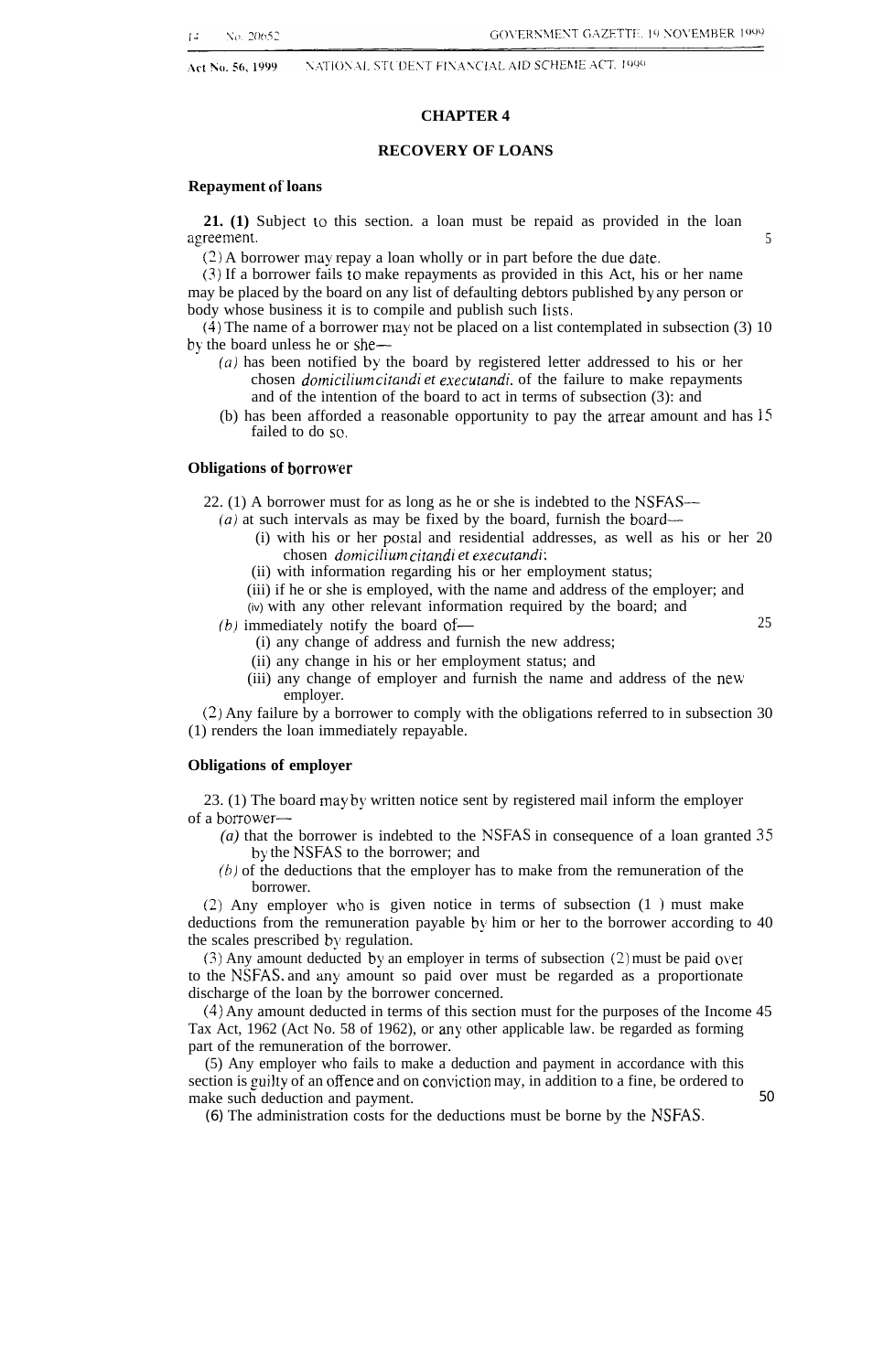Act No. 56, 1999

#### NATIONAL STUDENT FINANCIAL AID SCHEME ACT, 1990

#### **CHAPTER 4**

#### **RECOVERY OF LOANS**

#### **Repayment of loans**

**21. (1)** Subject to this section. a loan must be repaid as provided in the loan agreement. 5

 $(2)$  A borrower may repay a loan wholly or in part before the due date.

(3) If a borrower fails to make repayments as provided in this Act, his or her name may be placed by the board on any list of defaulting debtors published by any person or body whose business it is to compile and publish such lists.

(4) The name of a borrower may not be placed on a list contemplated in subsection (3) 10 by the board unless he or she—

- (a) has been notified by the board by registered letter addressed to his or her chosen *domiciljum citalldi et executand;.* of the failure to make repayments and of the intention of the board to act in terms of subsection (3): and
- (b) has been afforded a reasonable opportunity to pay the arrear amount and has 15 failed to do so.

#### **Obligations of borrower**

22. (1) A borrower must for as long as he or she is indebted to the NSFAS—

- *(a)* at such intervals as may be fixed by the board, furnish the board—
	- (i) with his or her postal and residential addresses, as well as his or her 20 chosen *domicilium citandi et executandi:*
	- (ii) with information regarding his or her employment status;
	- (iii) if he or she is employed, with the name and address of the employer; and
- (iv) with any other relevant information required by the board; and *(b)* immediately notify the board of— 25
	- - (i) any change of address and furnish the new address;
		- (ii) any change in his or her employment status; and
		- (iii) any change of employer and furnish the name and address of the new employer.

(2) Any failure by a borrower to comply with the obligations referred to in subsection 30 (1) renders the loan immediately repayable.

#### **Obligations of employer**

23. (1) The board may by written notice sent by registered mail inform the employer of a borrower—

- *(a)* that the borrower is indebted to the NSFAS in consequence of a loan granted 35 by the NSFAS to the borrower; and
- $(b)$  of the deductions that the employer has to make from the remuneration of the borrower.

(2) Any employer who is given notice in terms of subsection (1 ) must make deductions from the remuneration payable by him or her to the borrower according to 40 the scales prescribed by regulation.

(3) Any amount deducted by an employer in terms of subsection (2) must be paid over to the NSFAS. and any amount so paid over must be regarded as a proportionate discharge of the loan by the borrower concerned.

(4) Any amount deducted in terms of this section must for the purposes of the Income 45 Tax Act, 1962 (Act No. 58 of 1962), or any other applicable law. be regarded as forming part of the remuneration of the borrower.

(5) Any employer who fails to make a deduction and payment in accordance with this section is guilty of an offence and on conviction may, in addition to a fine, be ordered to make such deduction and payment. 50

(6) The administration costs for the deductions must be borne by the NSFAS.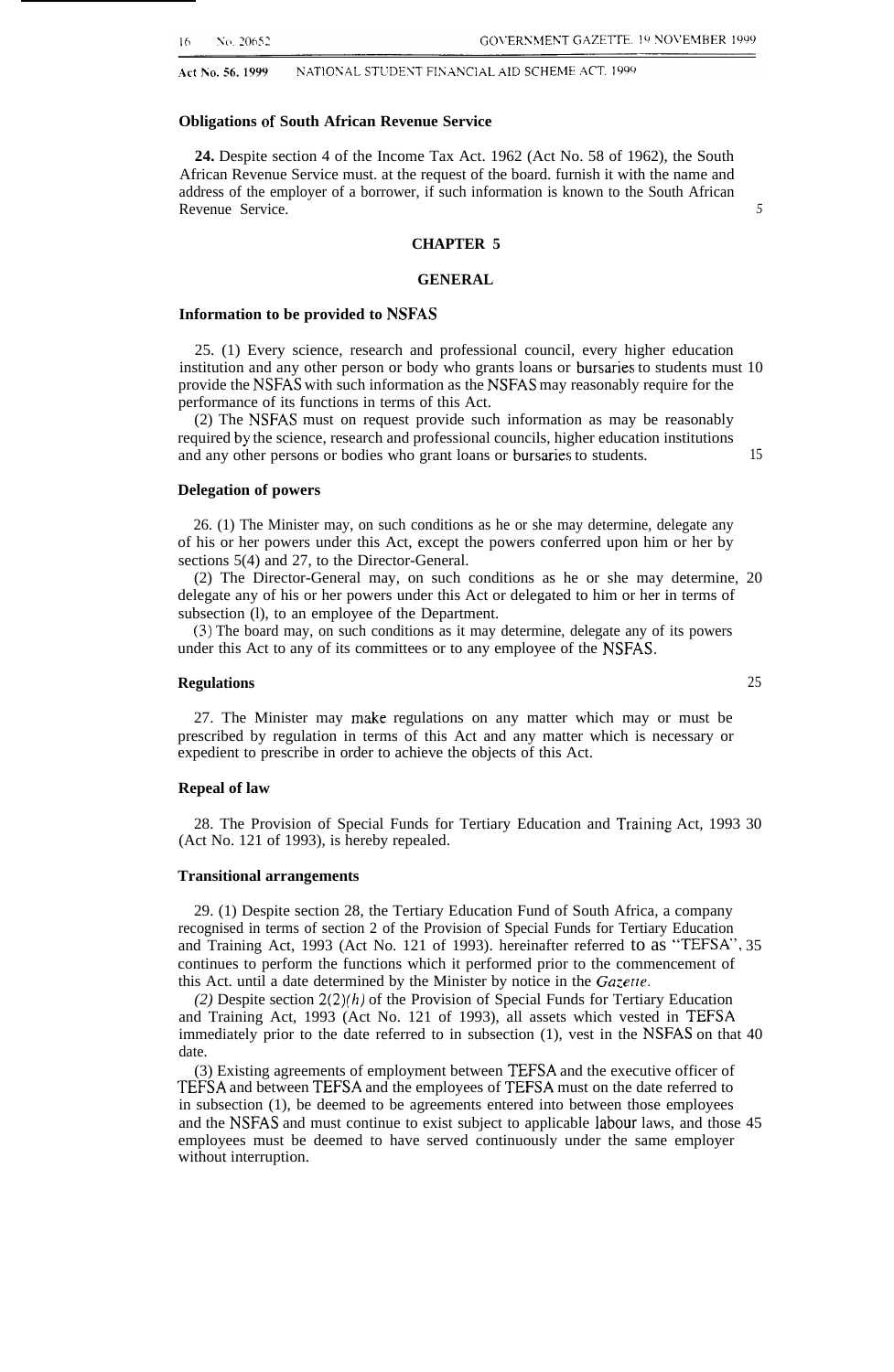No. 20652 16

Act No. 56, 1999 NATIONAL STUDENT FINANCIAL AID SCHEME ACT. 1999

#### **Obligations of South African Revenue Service**

**24.** Despite section 4 of the Income Tax Act. 1962 (Act No. 58 of 1962), the South African Revenue Service must. at the request of the board. furnish it with the name and address of the employer of a borrower, if such information is known to the South African Revenue Service. *5*

#### **CHAPTER 5**

#### **GENERAL**

#### **Information to be provided to NSFAS**

25. (1) Every science, research and professional council, every higher education institution and any other person or body who grants loans or bursaries to students must 10 provide the NSFAS with such information as the NSFAS may reasonably require for the performance of its functions in terms of this Act.

(2) The NSFAS must on request provide such information as may be reasonably required by the science, research and professional councils, higher education institutions and any other persons or bodies who grant loans or bursaries to students. 15

#### **Delegation of powers**

26. (1) The Minister may, on such conditions as he or she may determine, delegate any of his or her powers under this Act, except the powers conferred upon him or her by sections 5(4) and 27, to the Director-General.

(2) The Director-General may, on such conditions as he or she may determine, 20 delegate any of his or her powers under this Act or delegated to him or her in terms of subsection (1), to an employee of the Department.

(3) The board may, on such conditions as it may determine, delegate any of its powers under this Act to any of its committees or to any employee of the NSFAS.

#### **Regulations** 25

27. The Minister may make regulations on any matter which may or must be prescribed by regulation in terms of this Act and any matter which is necessary or expedient to prescribe in order to achieve the objects of this Act.

#### **Repeal of law**

28. The Provision of Special Funds for Tertiary Education and Training Act, 1993 30 (Act No. 121 of 1993), is hereby repealed.

#### **Transitional arrangements**

29. (1) Despite section 28, the Tertiary Education Fund of South Africa, a company recognised in terms of section 2 of the Provision of Special Funds for Tertiary Education and Training Act, 1993 (Act No. 121 of 1993). hereinafter referred to as "TEFSA', 35 continues to perform the functions which it performed prior to the commencement of this Act. until a date determined by the Minister by notice in the *Gazerte.*

 $(2)$  Despite section  $2(2)(h)$  of the Provision of Special Funds for Tertiary Education and Training Act, 1993 (Act No. 121 of 1993), all assets which vested in TEFSA immediately prior to the date referred to in subsection (1), vest in the NSFAS on that 40 date.

(3) Existing agreements of employment between TEFSA and the executive officer of TEFSA and between TEFSA and the employees of TEFSA must on the date referred to in subsection (1), be deemed to be agreements entered into between those employees and the NSFAS and must continue to exist subject to applicable labour laws, and those 45 employees must be deemed to have served continuously under the same employer without interruption.